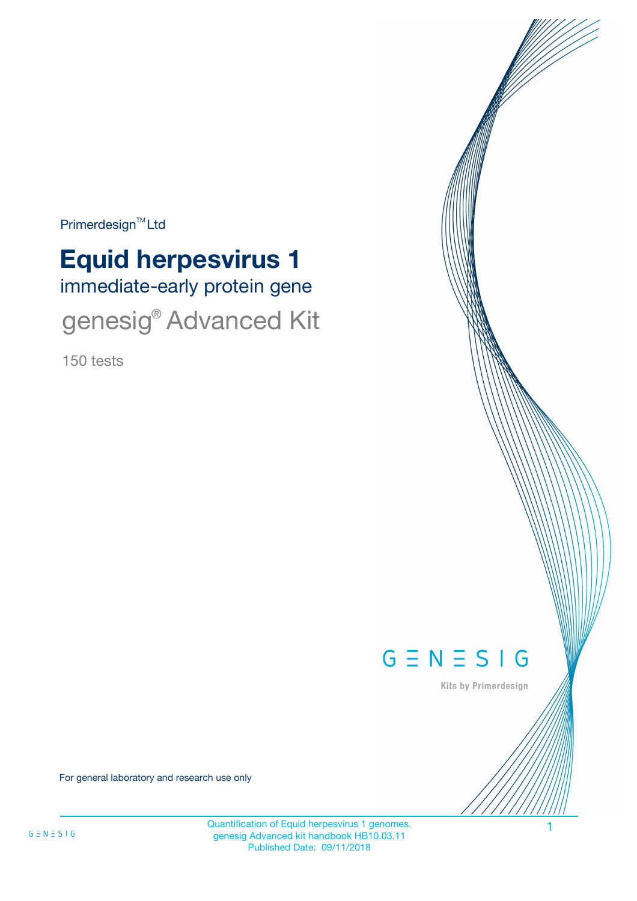Primerdesign<sup>™</sup>Ltd

# immediate-early protein gene **Equid herpesvirus 1**

genesig<sup>®</sup> Advanced Kit

150 tests



Kits by Primerdesign

For general laboratory and research use only

Quantification of Equid herpesvirus 1 genomes. 1 genesig Advanced kit handbook HB10.03.11 Published Date: 09/11/2018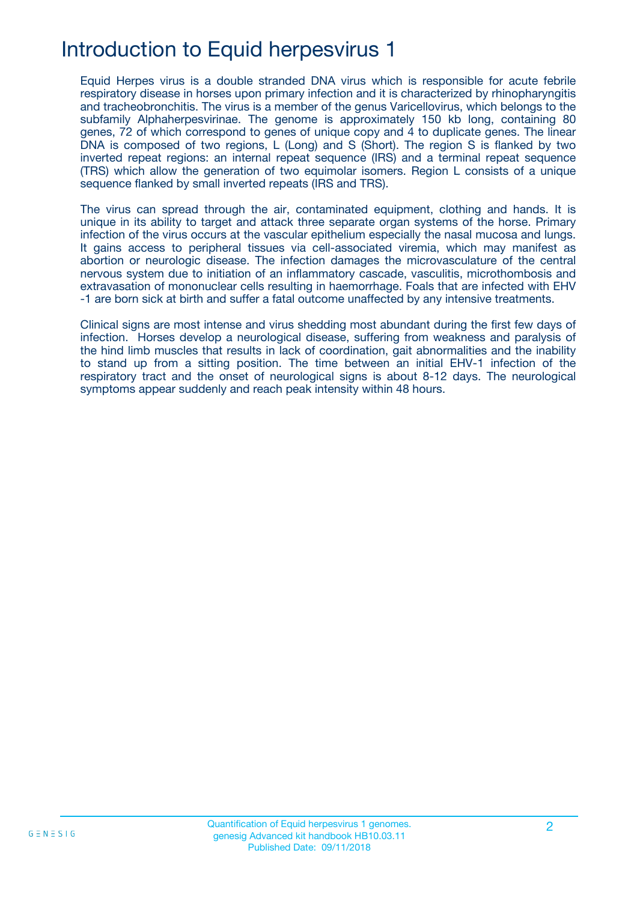## Introduction to Equid herpesvirus 1

Equid Herpes virus is a double stranded DNA virus which is responsible for acute febrile respiratory disease in horses upon primary infection and it is characterized by rhinopharyngitis and tracheobronchitis. The virus is a member of the genus Varicellovirus, which belongs to the subfamily Alphaherpesvirinae. The genome is approximately 150 kb long, containing 80 genes, 72 of which correspond to genes of unique copy and 4 to duplicate genes. The linear DNA is composed of two regions, L (Long) and S (Short). The region S is flanked by two inverted repeat regions: an internal repeat sequence (IRS) and a terminal repeat sequence (TRS) which allow the generation of two equimolar isomers. Region L consists of a unique sequence flanked by small inverted repeats (IRS and TRS).

The virus can spread through the air, contaminated equipment, clothing and hands. It is unique in its ability to target and attack three separate organ systems of the horse. Primary infection of the virus occurs at the vascular epithelium especially the nasal mucosa and lungs. It gains access to peripheral tissues via cell-associated viremia, which may manifest as abortion or neurologic disease. The infection damages the microvasculature of the central nervous system due to initiation of an inflammatory cascade, vasculitis, microthombosis and extravasation of mononuclear cells resulting in haemorrhage. Foals that are infected with EHV -1 are born sick at birth and suffer a fatal outcome unaffected by any intensive treatments.

Clinical signs are most intense and virus shedding most abundant during the first few days of infection. Horses develop a neurological disease, suffering from weakness and paralysis of the hind limb muscles that results in lack of coordination, gait abnormalities and the inability to stand up from a sitting position. The time between an initial EHV-1 infection of the respiratory tract and the onset of neurological signs is about 8-12 days. The neurological symptoms appear suddenly and reach peak intensity within 48 hours.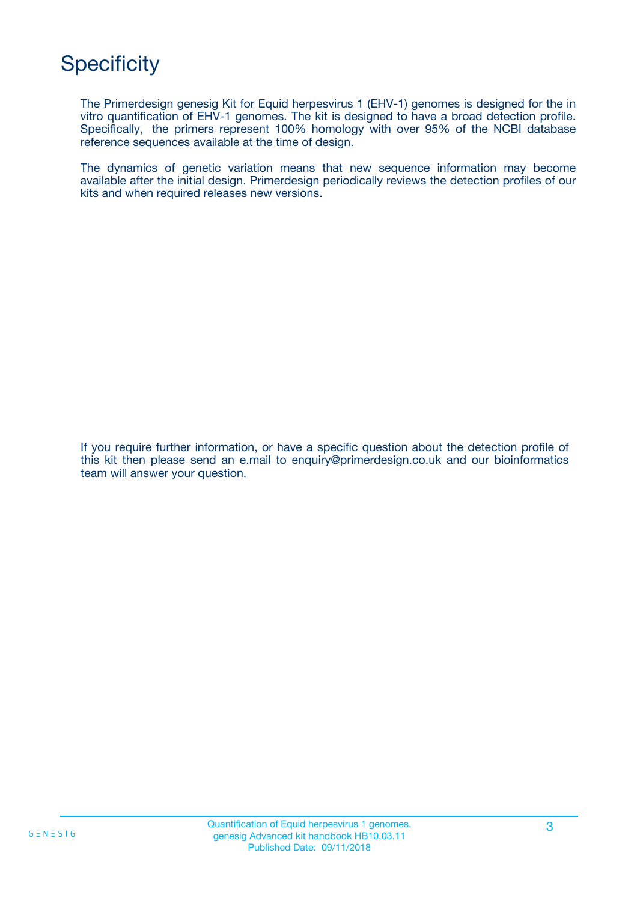## **Specificity**

The Primerdesign genesig Kit for Equid herpesvirus 1 (EHV-1) genomes is designed for the in vitro quantification of EHV-1 genomes. The kit is designed to have a broad detection profile. Specifically, the primers represent 100% homology with over 95% of the NCBI database reference sequences available at the time of design.

The dynamics of genetic variation means that new sequence information may become available after the initial design. Primerdesign periodically reviews the detection profiles of our kits and when required releases new versions.

If you require further information, or have a specific question about the detection profile of this kit then please send an e.mail to enquiry@primerdesign.co.uk and our bioinformatics team will answer your question.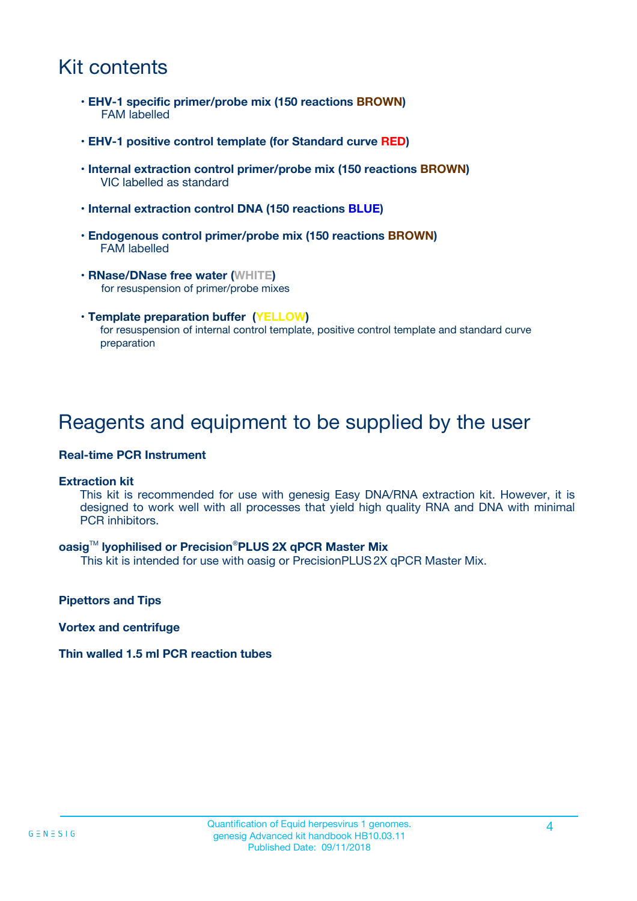## Kit contents

- **EHV-1 specific primer/probe mix (150 reactions BROWN)** FAM labelled
- **EHV-1 positive control template (for Standard curve RED)**
- **Internal extraction control primer/probe mix (150 reactions BROWN)** VIC labelled as standard
- **Internal extraction control DNA (150 reactions BLUE)**
- **Endogenous control primer/probe mix (150 reactions BROWN)** FAM labelled
- **RNase/DNase free water (WHITE)** for resuspension of primer/probe mixes
- **Template preparation buffer (YELLOW)** for resuspension of internal control template, positive control template and standard curve preparation

### Reagents and equipment to be supplied by the user

#### **Real-time PCR Instrument**

#### **Extraction kit**

This kit is recommended for use with genesig Easy DNA/RNA extraction kit. However, it is designed to work well with all processes that yield high quality RNA and DNA with minimal PCR inhibitors.

#### **oasig**TM **lyophilised or Precision**®**PLUS 2X qPCR Master Mix**

This kit is intended for use with oasig or PrecisionPLUS2X qPCR Master Mix.

**Pipettors and Tips**

**Vortex and centrifuge**

#### **Thin walled 1.5 ml PCR reaction tubes**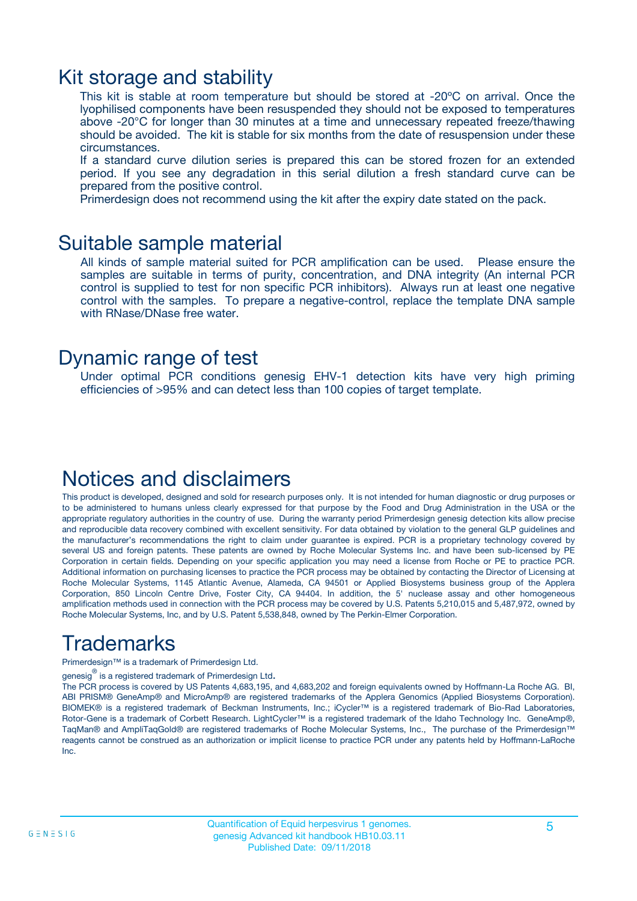### Kit storage and stability

This kit is stable at room temperature but should be stored at -20ºC on arrival. Once the lyophilised components have been resuspended they should not be exposed to temperatures above -20°C for longer than 30 minutes at a time and unnecessary repeated freeze/thawing should be avoided. The kit is stable for six months from the date of resuspension under these circumstances.

If a standard curve dilution series is prepared this can be stored frozen for an extended period. If you see any degradation in this serial dilution a fresh standard curve can be prepared from the positive control.

Primerdesign does not recommend using the kit after the expiry date stated on the pack.

### Suitable sample material

All kinds of sample material suited for PCR amplification can be used. Please ensure the samples are suitable in terms of purity, concentration, and DNA integrity (An internal PCR control is supplied to test for non specific PCR inhibitors). Always run at least one negative control with the samples. To prepare a negative-control, replace the template DNA sample with RNase/DNase free water.

### Dynamic range of test

Under optimal PCR conditions genesig EHV-1 detection kits have very high priming efficiencies of >95% and can detect less than 100 copies of target template.

## Notices and disclaimers

This product is developed, designed and sold for research purposes only. It is not intended for human diagnostic or drug purposes or to be administered to humans unless clearly expressed for that purpose by the Food and Drug Administration in the USA or the appropriate regulatory authorities in the country of use. During the warranty period Primerdesign genesig detection kits allow precise and reproducible data recovery combined with excellent sensitivity. For data obtained by violation to the general GLP guidelines and the manufacturer's recommendations the right to claim under guarantee is expired. PCR is a proprietary technology covered by several US and foreign patents. These patents are owned by Roche Molecular Systems Inc. and have been sub-licensed by PE Corporation in certain fields. Depending on your specific application you may need a license from Roche or PE to practice PCR. Additional information on purchasing licenses to practice the PCR process may be obtained by contacting the Director of Licensing at Roche Molecular Systems, 1145 Atlantic Avenue, Alameda, CA 94501 or Applied Biosystems business group of the Applera Corporation, 850 Lincoln Centre Drive, Foster City, CA 94404. In addition, the 5' nuclease assay and other homogeneous amplification methods used in connection with the PCR process may be covered by U.S. Patents 5,210,015 and 5,487,972, owned by Roche Molecular Systems, Inc, and by U.S. Patent 5,538,848, owned by The Perkin-Elmer Corporation.

## Trademarks

Primerdesign™ is a trademark of Primerdesign Ltd.

genesig $^\circledR$  is a registered trademark of Primerdesign Ltd.

The PCR process is covered by US Patents 4,683,195, and 4,683,202 and foreign equivalents owned by Hoffmann-La Roche AG. BI, ABI PRISM® GeneAmp® and MicroAmp® are registered trademarks of the Applera Genomics (Applied Biosystems Corporation). BIOMEK® is a registered trademark of Beckman Instruments, Inc.; iCycler™ is a registered trademark of Bio-Rad Laboratories, Rotor-Gene is a trademark of Corbett Research. LightCycler™ is a registered trademark of the Idaho Technology Inc. GeneAmp®, TaqMan® and AmpliTaqGold® are registered trademarks of Roche Molecular Systems, Inc., The purchase of the Primerdesign™ reagents cannot be construed as an authorization or implicit license to practice PCR under any patents held by Hoffmann-LaRoche Inc.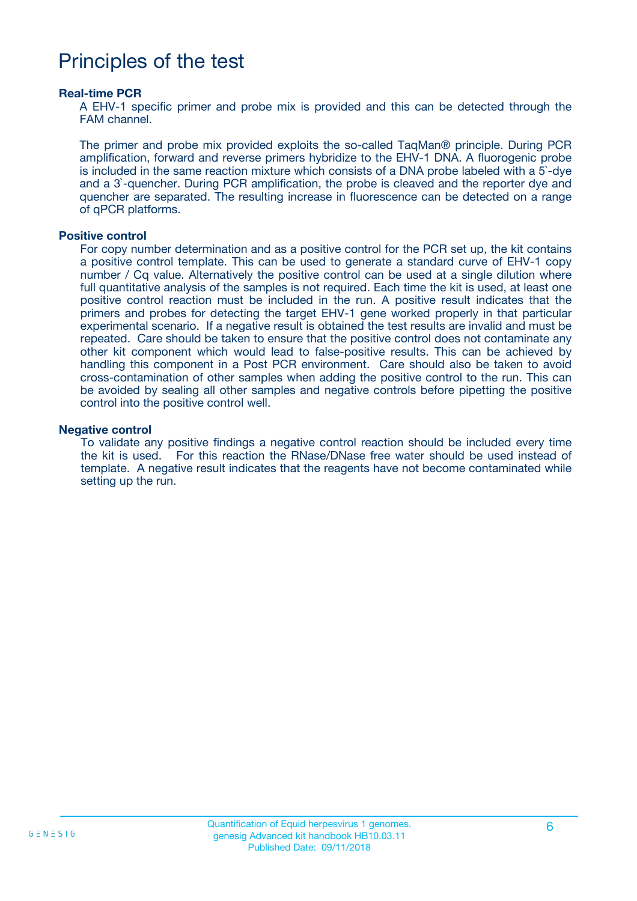### Principles of the test

#### **Real-time PCR**

A EHV-1 specific primer and probe mix is provided and this can be detected through the FAM channel.

The primer and probe mix provided exploits the so-called TaqMan® principle. During PCR amplification, forward and reverse primers hybridize to the EHV-1 DNA. A fluorogenic probe is included in the same reaction mixture which consists of a DNA probe labeled with a 5`-dye and a 3`-quencher. During PCR amplification, the probe is cleaved and the reporter dye and quencher are separated. The resulting increase in fluorescence can be detected on a range of qPCR platforms.

#### **Positive control**

For copy number determination and as a positive control for the PCR set up, the kit contains a positive control template. This can be used to generate a standard curve of EHV-1 copy number / Cq value. Alternatively the positive control can be used at a single dilution where full quantitative analysis of the samples is not required. Each time the kit is used, at least one positive control reaction must be included in the run. A positive result indicates that the primers and probes for detecting the target EHV-1 gene worked properly in that particular experimental scenario. If a negative result is obtained the test results are invalid and must be repeated. Care should be taken to ensure that the positive control does not contaminate any other kit component which would lead to false-positive results. This can be achieved by handling this component in a Post PCR environment. Care should also be taken to avoid cross-contamination of other samples when adding the positive control to the run. This can be avoided by sealing all other samples and negative controls before pipetting the positive control into the positive control well.

#### **Negative control**

To validate any positive findings a negative control reaction should be included every time the kit is used. For this reaction the RNase/DNase free water should be used instead of template. A negative result indicates that the reagents have not become contaminated while setting up the run.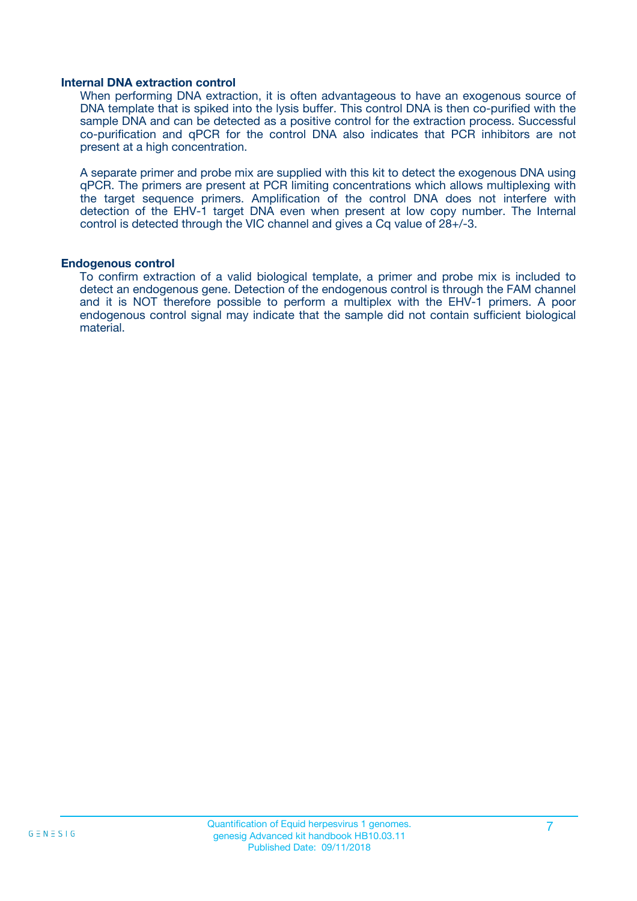#### **Internal DNA extraction control**

When performing DNA extraction, it is often advantageous to have an exogenous source of DNA template that is spiked into the lysis buffer. This control DNA is then co-purified with the sample DNA and can be detected as a positive control for the extraction process. Successful co-purification and qPCR for the control DNA also indicates that PCR inhibitors are not present at a high concentration.

A separate primer and probe mix are supplied with this kit to detect the exogenous DNA using qPCR. The primers are present at PCR limiting concentrations which allows multiplexing with the target sequence primers. Amplification of the control DNA does not interfere with detection of the EHV-1 target DNA even when present at low copy number. The Internal control is detected through the VIC channel and gives a Cq value of 28+/-3.

#### **Endogenous control**

To confirm extraction of a valid biological template, a primer and probe mix is included to detect an endogenous gene. Detection of the endogenous control is through the FAM channel and it is NOT therefore possible to perform a multiplex with the EHV-1 primers. A poor endogenous control signal may indicate that the sample did not contain sufficient biological material.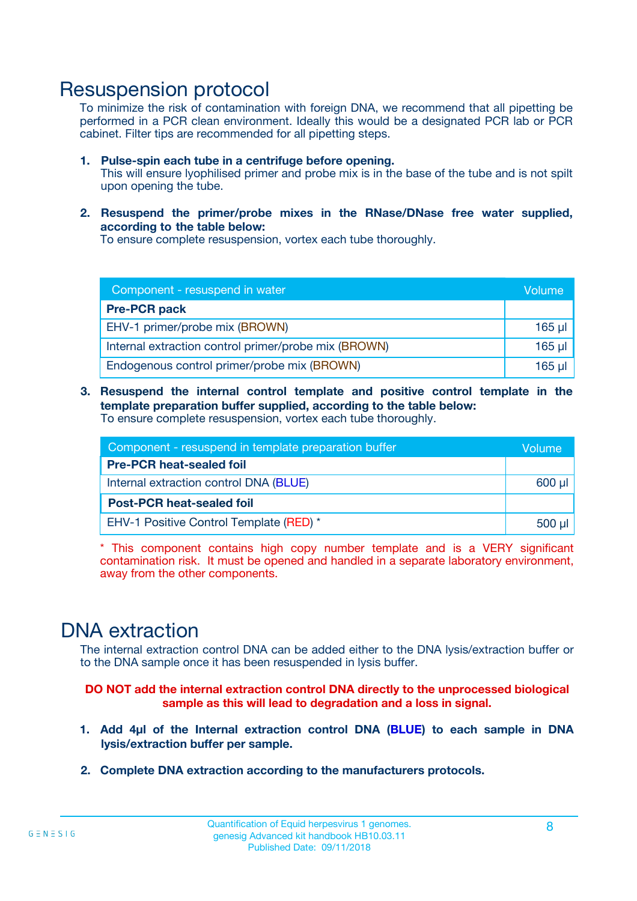### Resuspension protocol

To minimize the risk of contamination with foreign DNA, we recommend that all pipetting be performed in a PCR clean environment. Ideally this would be a designated PCR lab or PCR cabinet. Filter tips are recommended for all pipetting steps.

- **1. Pulse-spin each tube in a centrifuge before opening.** This will ensure lyophilised primer and probe mix is in the base of the tube and is not spilt upon opening the tube.
- **2. Resuspend the primer/probe mixes in the RNase/DNase free water supplied, according to the table below:**

To ensure complete resuspension, vortex each tube thoroughly.

| Component - resuspend in water                       |             |  |
|------------------------------------------------------|-------------|--|
| <b>Pre-PCR pack</b>                                  |             |  |
| EHV-1 primer/probe mix (BROWN)                       | $165$ µl    |  |
| Internal extraction control primer/probe mix (BROWN) | $165$ $\mu$ |  |
| Endogenous control primer/probe mix (BROWN)          | $165$ µl    |  |

**3. Resuspend the internal control template and positive control template in the template preparation buffer supplied, according to the table below:** To ensure complete resuspension, vortex each tube thoroughly.

| Component - resuspend in template preparation buffer |          |  |
|------------------------------------------------------|----------|--|
| <b>Pre-PCR heat-sealed foil</b>                      |          |  |
| Internal extraction control DNA (BLUE)               |          |  |
| <b>Post-PCR heat-sealed foil</b>                     |          |  |
| EHV-1 Positive Control Template (RED) *              | $500$ µl |  |

\* This component contains high copy number template and is a VERY significant contamination risk. It must be opened and handled in a separate laboratory environment, away from the other components.

### DNA extraction

The internal extraction control DNA can be added either to the DNA lysis/extraction buffer or to the DNA sample once it has been resuspended in lysis buffer.

**DO NOT add the internal extraction control DNA directly to the unprocessed biological sample as this will lead to degradation and a loss in signal.**

- **1. Add 4µl of the Internal extraction control DNA (BLUE) to each sample in DNA lysis/extraction buffer per sample.**
- **2. Complete DNA extraction according to the manufacturers protocols.**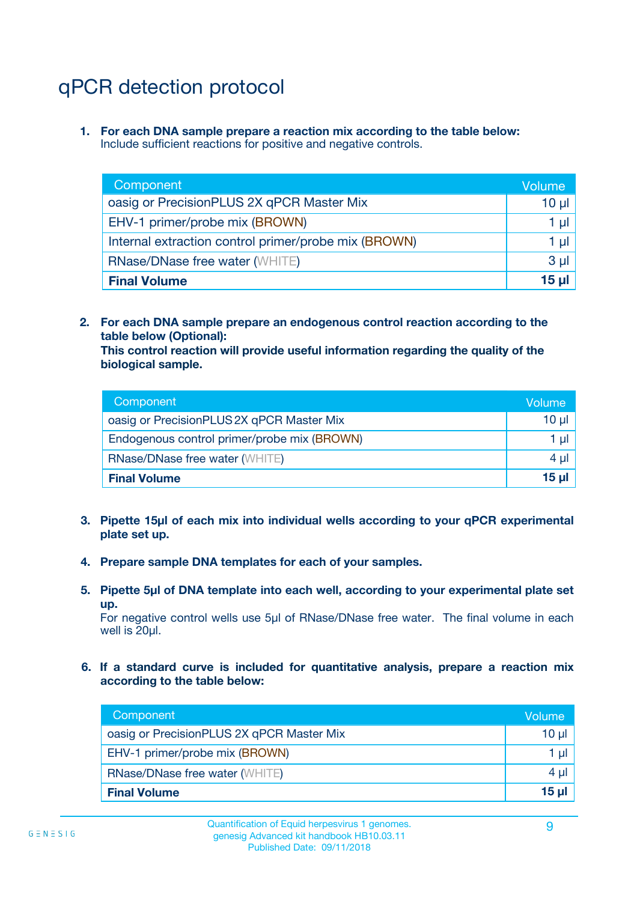## qPCR detection protocol

**1. For each DNA sample prepare a reaction mix according to the table below:** Include sufficient reactions for positive and negative controls.

| Component                                            | Volume   |
|------------------------------------------------------|----------|
| oasig or PrecisionPLUS 2X qPCR Master Mix            | $10 \mu$ |
| EHV-1 primer/probe mix (BROWN)                       | 1 µI l   |
| Internal extraction control primer/probe mix (BROWN) | 1 µl     |
| <b>RNase/DNase free water (WHITE)</b>                | $3 \mu$  |
| <b>Final Volume</b>                                  | 15 µl    |

**2. For each DNA sample prepare an endogenous control reaction according to the table below (Optional):**

**This control reaction will provide useful information regarding the quality of the biological sample.**

| Component                                   | Volume   |
|---------------------------------------------|----------|
| oasig or PrecisionPLUS 2X qPCR Master Mix   | $10 \mu$ |
| Endogenous control primer/probe mix (BROWN) | 1 µI     |
| <b>RNase/DNase free water (WHITE)</b>       | $4 \mu$  |
| <b>Final Volume</b>                         | 15 µl    |

- **3. Pipette 15µl of each mix into individual wells according to your qPCR experimental plate set up.**
- **4. Prepare sample DNA templates for each of your samples.**
- **5. Pipette 5µl of DNA template into each well, according to your experimental plate set up.**

For negative control wells use 5µl of RNase/DNase free water. The final volume in each well is 20ul.

**6. If a standard curve is included for quantitative analysis, prepare a reaction mix according to the table below:**

| Component                                 | Volume          |
|-------------------------------------------|-----------------|
| oasig or PrecisionPLUS 2X qPCR Master Mix | $10 \mu$        |
| EHV-1 primer/probe mix (BROWN)            |                 |
| <b>RNase/DNase free water (WHITE)</b>     | $4 \mu$         |
| <b>Final Volume</b>                       | 15 <sub>µ</sub> |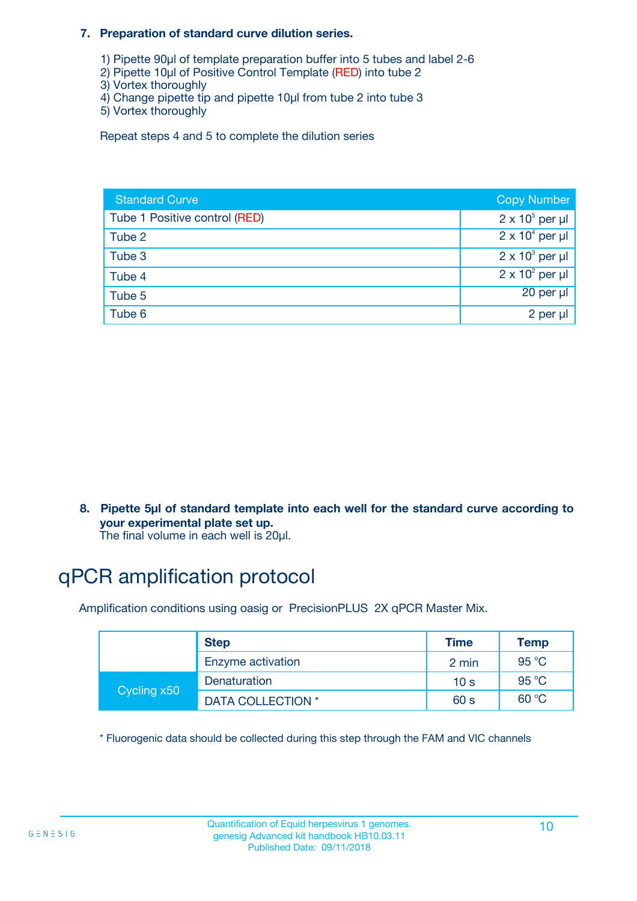#### **7. Preparation of standard curve dilution series.**

- 1) Pipette 90µl of template preparation buffer into 5 tubes and label 2-6
- 2) Pipette 10µl of Positive Control Template (RED) into tube 2
- 3) Vortex thoroughly
- 4) Change pipette tip and pipette 10µl from tube 2 into tube 3
- 5) Vortex thoroughly

Repeat steps 4 and 5 to complete the dilution series

| <b>Standard Curve</b>         | <b>Copy Number</b>     |
|-------------------------------|------------------------|
| Tube 1 Positive control (RED) | $2 \times 10^5$ per µl |
| Tube 2                        | $2 \times 10^4$ per µl |
| Tube 3                        | $2 \times 10^3$ per µl |
| Tube 4                        | $2 \times 10^2$ per µl |
| Tube 5                        | 20 per µl              |
| Tube 6                        | 2 per µl               |

**8. Pipette 5µl of standard template into each well for the standard curve according to your experimental plate set up.**

#### The final volume in each well is 20µl.

## qPCR amplification protocol

Amplification conditions using oasig or PrecisionPLUS 2X qPCR Master Mix.

|             | <b>Step</b>       | <b>Time</b>     | Temp    |
|-------------|-------------------|-----------------|---------|
|             | Enzyme activation | 2 min           | 95 °C   |
| Cycling x50 | Denaturation      | 10 <sub>s</sub> | 95 $°C$ |
|             | DATA COLLECTION * | 60 s            | 60 °C   |

\* Fluorogenic data should be collected during this step through the FAM and VIC channels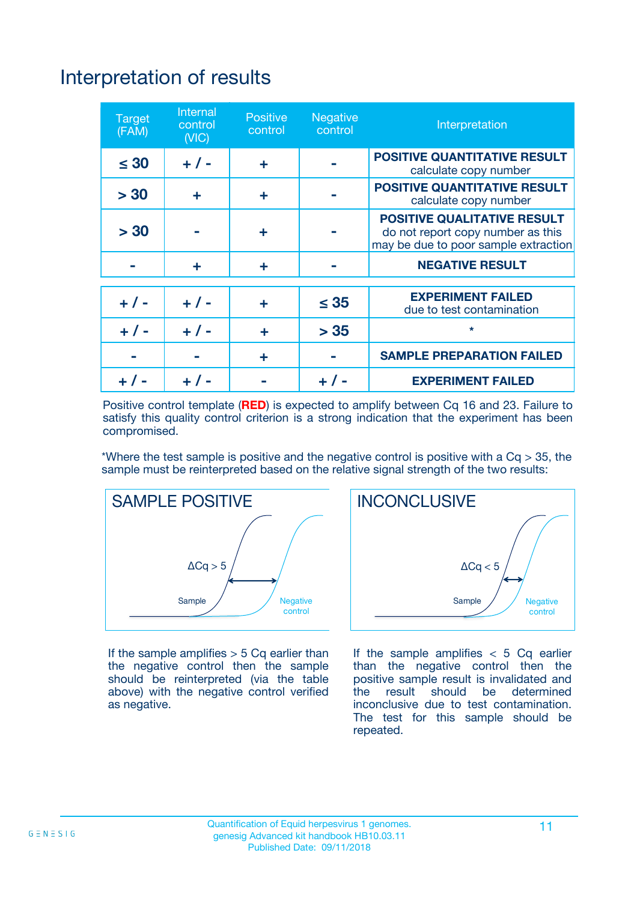# Interpretation of results

| <b>Target</b><br>(FAM) | <b>Internal</b><br>control<br>(NIC) | <b>Positive</b><br>control | <b>Negative</b><br>control | Interpretation                                                                                                  |
|------------------------|-------------------------------------|----------------------------|----------------------------|-----------------------------------------------------------------------------------------------------------------|
| $\leq 30$              | $+ 1 -$                             | ÷                          |                            | <b>POSITIVE QUANTITATIVE RESULT</b><br>calculate copy number                                                    |
| > 30                   | ٠                                   | ÷                          |                            | <b>POSITIVE QUANTITATIVE RESULT</b><br>calculate copy number                                                    |
| > 30                   |                                     | ÷                          |                            | <b>POSITIVE QUALITATIVE RESULT</b><br>do not report copy number as this<br>may be due to poor sample extraction |
|                        | ÷                                   | ÷                          |                            | <b>NEGATIVE RESULT</b>                                                                                          |
| $+ 1 -$                | $+ 1 -$                             | ÷                          | $\leq$ 35                  | <b>EXPERIMENT FAILED</b><br>due to test contamination                                                           |
| $+$ / -                | $+ 1 -$                             | ÷                          | > 35                       | $\star$                                                                                                         |
|                        |                                     | ÷                          |                            | <b>SAMPLE PREPARATION FAILED</b>                                                                                |
|                        |                                     |                            | $+$ /                      | <b>EXPERIMENT FAILED</b>                                                                                        |

Positive control template (**RED**) is expected to amplify between Cq 16 and 23. Failure to satisfy this quality control criterion is a strong indication that the experiment has been compromised.

\*Where the test sample is positive and the negative control is positive with a  $Ca > 35$ , the sample must be reinterpreted based on the relative signal strength of the two results:



If the sample amplifies  $> 5$  Cq earlier than the negative control then the sample should be reinterpreted (via the table above) with the negative control verified as negative.



If the sample amplifies  $< 5$  Cq earlier than the negative control then the positive sample result is invalidated and<br>the result should be determined  $the$  result should be inconclusive due to test contamination. The test for this sample should be repeated.